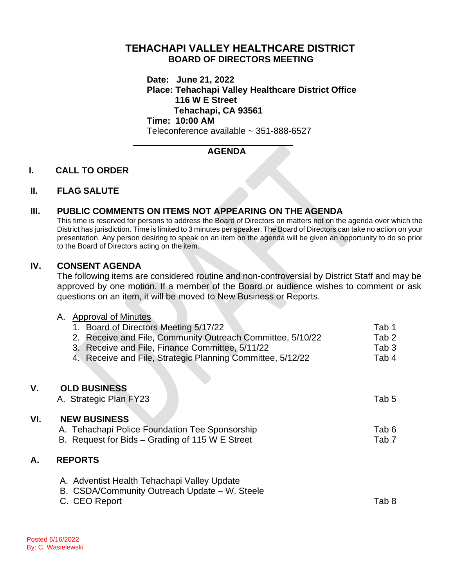## **TEHACHAPI VALLEY HEALTHCARE DISTRICT BOARD OF DIRECTORS MEETING**

**Date: June 21, 2022 Place: Tehachapi Valley Healthcare District Office 116 W E Street Tehachapi, CA 93561 Time: 10:00 AM**

Teleconference available ~ 351-888-6527

### **AGENDA**

### **I. CALL TO ORDER**

### **II. FLAG SALUTE**

#### **III. PUBLIC COMMENTS ON ITEMS NOT APPEARING ON THE AGENDA**

This time is reserved for persons to address the Board of Directors on matters not on the agenda over which the District has jurisdiction. Time is limited to 3 minutes per speaker. The Board of Directors can take no action on your presentation. Any person desiring to speak on an item on the agenda will be given an opportunity to do so prior to the Board of Directors acting on the item.

#### **IV. CONSENT AGENDA**

The following items are considered routine and non-controversial by District Staff and may be approved by one motion. If a member of the Board or audience wishes to comment or ask questions on an item, it will be moved to New Business or Reports.

### A. Approval of Minutes

| 1. Board of Directors Meeting 5/17/22                      | Tab 1            |
|------------------------------------------------------------|------------------|
| 2. Receive and File, Community Outreach Committee, 5/10/22 | Tab <sub>2</sub> |
| 3. Receive and File, Finance Committee, 5/11/22            | Tab <sub>3</sub> |
| 4. Receive and File, Strategic Planning Committee, 5/12/22 | Tab 4            |
| <b>OLD BUSINESS</b>                                        |                  |
| A. Strategic Plan FY23                                     | Tab 5            |
| <b>NEW BUSINESS</b>                                        |                  |
| A. Tehachapi Police Foundation Tee Sponsorship             | Tab 6            |
| B. Request for Bids – Grading of 115 W E Street            | Tab <sub>7</sub> |
| <b>REPORTS</b>                                             |                  |
| A. Adventist Health Tehachapi Valley Update                |                  |
| B. CSDA/Community Outreach Update - W. Steele              |                  |
| C. CEO Report                                              | Tab 8            |
|                                                            |                  |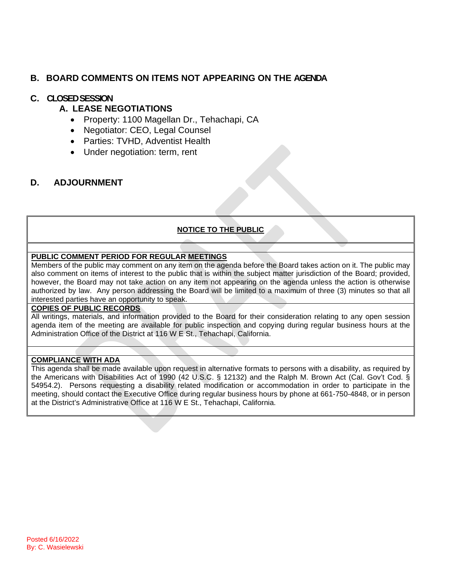## **B. BOARD COMMENTS ON ITEMS NOT APPEARING ON THE AGENDA**

## **C. CLOSED SESSION**

## **A. LEASE NEGOTIATIONS**

- Property: 1100 Magellan Dr., Tehachapi, CA
- Negotiator: CEO, Legal Counsel
- Parties: TVHD, Adventist Health
- Under negotiation: term, rent

## **D. ADJOURNMENT**

# **NOTICE TO THE PUBLIC**

#### **PUBLIC COMMENT PERIOD FOR REGULAR MEETINGS**

Members of the public may comment on any item on the agenda before the Board takes action on it. The public may also comment on items of interest to the public that is within the subject matter jurisdiction of the Board; provided, however, the Board may not take action on any item not appearing on the agenda unless the action is otherwise authorized by law. Any person addressing the Board will be limited to a maximum of three (3) minutes so that all interested parties have an opportunity to speak.

#### **COPIES OF PUBLIC RECORDS**

All writings, materials, and information provided to the Board for their consideration relating to any open session agenda item of the meeting are available for public inspection and copying during regular business hours at the Administration Office of the District at 116 W E St., Tehachapi, California.

#### **COMPLIANCE WITH ADA**

This agenda shall be made available upon request in alternative formats to persons with a disability, as required by the Americans with Disabilities Act of 1990 (42 U.S.C. § 12132) and the Ralph M. Brown Act (Cal. Gov't Cod. § 54954.2). Persons requesting a disability related modification or accommodation in order to participate in the meeting, should contact the Executive Office during regular business hours by phone at 661-750-4848, or in person at the District's Administrative Office at 116 W E St., Tehachapi, California.